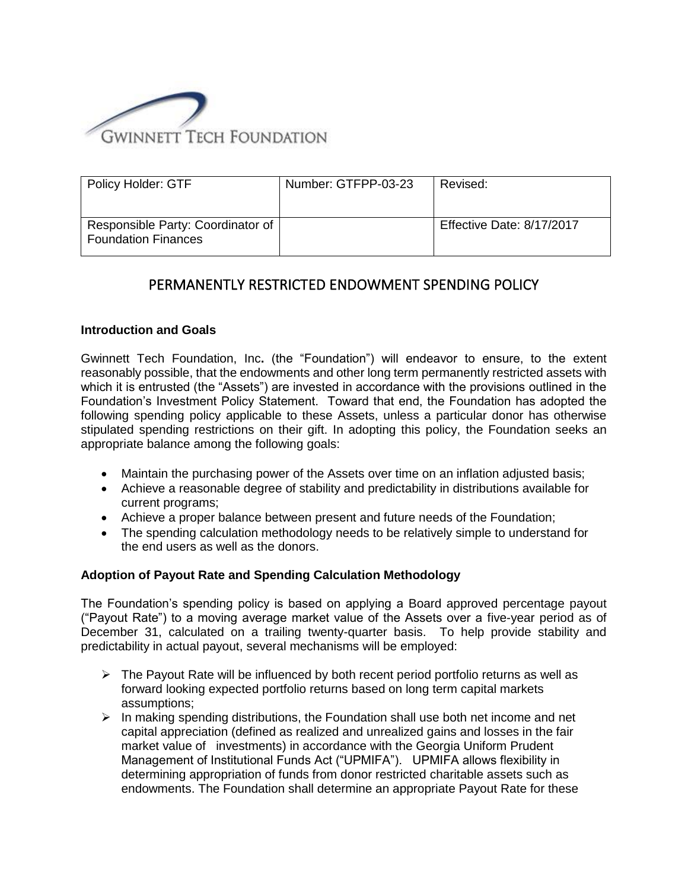

| Policy Holder: GTF                                              | Number: GTFPP-03-23 | Revised:                  |
|-----------------------------------------------------------------|---------------------|---------------------------|
| Responsible Party: Coordinator of<br><b>Foundation Finances</b> |                     | Effective Date: 8/17/2017 |

## PERMANENTLY RESTRICTED ENDOWMENT SPENDING POLICY

## **Introduction and Goals**

Gwinnett Tech Foundation, Inc**.** (the "Foundation") will endeavor to ensure, to the extent reasonably possible, that the endowments and other long term permanently restricted assets with which it is entrusted (the "Assets") are invested in accordance with the provisions outlined in the Foundation's Investment Policy Statement. Toward that end, the Foundation has adopted the following spending policy applicable to these Assets, unless a particular donor has otherwise stipulated spending restrictions on their gift. In adopting this policy, the Foundation seeks an appropriate balance among the following goals:

- Maintain the purchasing power of the Assets over time on an inflation adjusted basis;
- Achieve a reasonable degree of stability and predictability in distributions available for current programs;
- Achieve a proper balance between present and future needs of the Foundation;
- The spending calculation methodology needs to be relatively simple to understand for the end users as well as the donors.

## **Adoption of Payout Rate and Spending Calculation Methodology**

The Foundation's spending policy is based on applying a Board approved percentage payout ("Payout Rate") to a moving average market value of the Assets over a five-year period as of December 31, calculated on a trailing twenty-quarter basis. To help provide stability and predictability in actual payout, several mechanisms will be employed:

- $\triangleright$  The Payout Rate will be influenced by both recent period portfolio returns as well as forward looking expected portfolio returns based on long term capital markets assumptions;
- $\triangleright$  In making spending distributions, the Foundation shall use both net income and net capital appreciation (defined as realized and unrealized gains and losses in the fair market value of investments) in accordance with the Georgia Uniform Prudent Management of Institutional Funds Act ("UPMIFA"). UPMIFA allows flexibility in determining appropriation of funds from donor restricted charitable assets such as endowments. The Foundation shall determine an appropriate Payout Rate for these